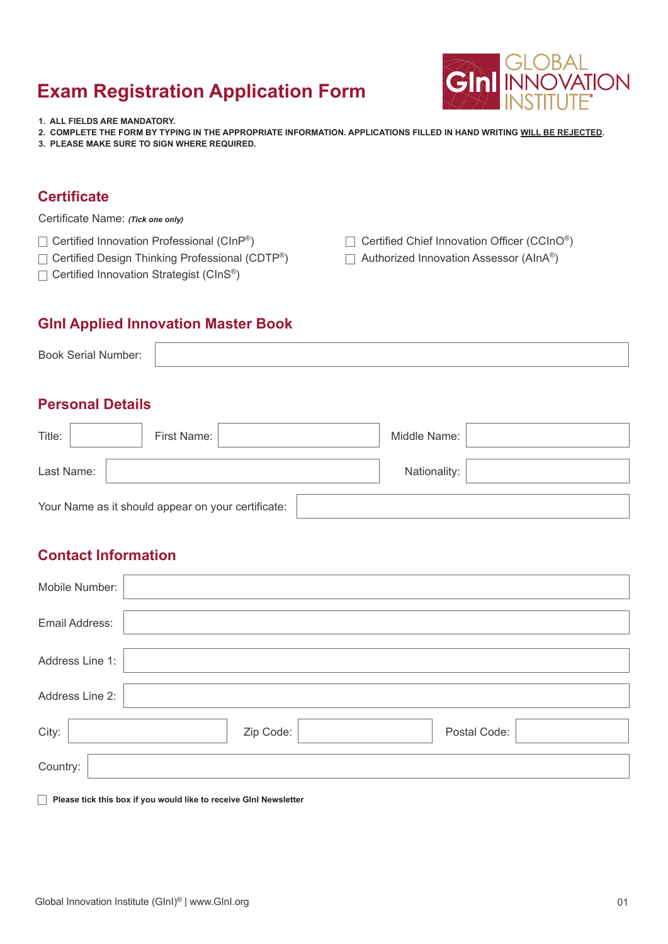**1. ALL FIELDS ARE MANDATORY.**

- **2. COMPLETE THE FORM BY TYPING IN THE APPROPRIATE INFORMATION. APPLICATIONS FILLED IN HAND WRITING WILL BE REJECTED.**
- **3. PLEASE MAKE SURE TO SIGN WHERE REQUIRED.**

### **Certificate**

Certificate Name: *(Tick one only)*

- $\Box$  Certified Innovation Professional (CInP®)
- $\Box$  Certified Design Thinking Professional (CDTP®)
- $\Box$  Certified Innovation Strategist (CInS®)
- $\Box$  Certified Chief Innovation Officer (CCInO®)
- □ Authorized Innovation Assessor (AInA<sup>®</sup>)

#### **GInI Applied Innovation Master Book**

| <b>Book Serial Number:</b> |  |
|----------------------------|--|
|----------------------------|--|

#### **Personal Details**

| Title:     | First Name:                                        |  | Middle Name: |  |
|------------|----------------------------------------------------|--|--------------|--|
| Last Name: |                                                    |  | Nationality: |  |
|            | Your Name as it should appear on your certificate: |  |              |  |

### **Contact Information**

| Mobile Number:  |                           |
|-----------------|---------------------------|
| Email Address:  |                           |
| Address Line 1: |                           |
| Address Line 2: |                           |
| City:           | Zip Code:<br>Postal Code: |
| Country:        |                           |

**Please tick this box if you would like to receive GInI Newsletter** 

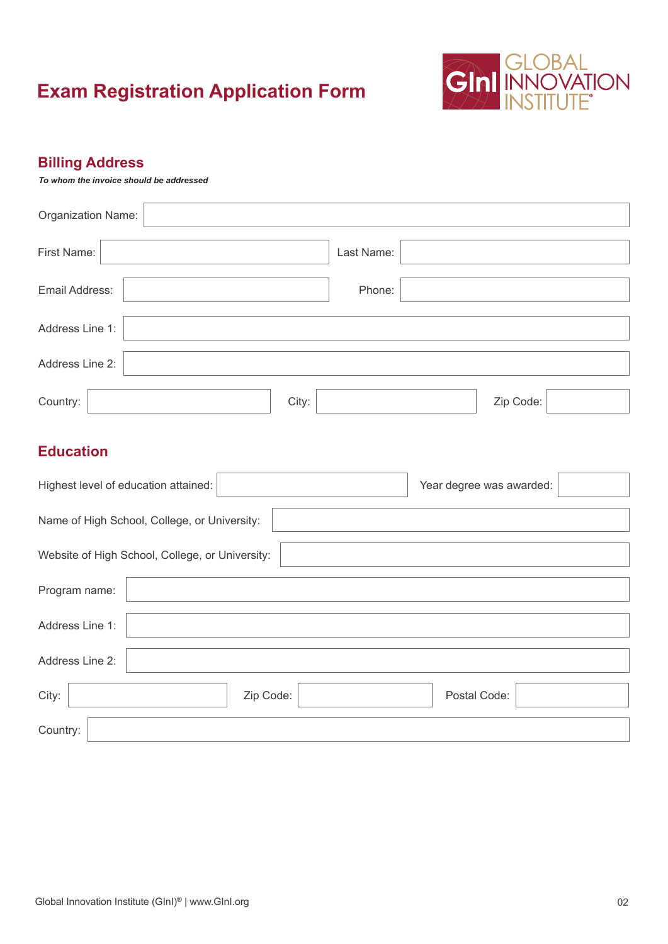

### **Billing Address**

*To whom the invoice should be addressed*

| Organization Name:                              |        |           |            |              |                          |  |
|-------------------------------------------------|--------|-----------|------------|--------------|--------------------------|--|
| First Name:                                     |        |           | Last Name: |              |                          |  |
| Email Address:                                  | Phone: |           |            |              |                          |  |
| Address Line 1:                                 |        |           |            |              |                          |  |
| Address Line 2:                                 |        |           |            |              |                          |  |
| Country:                                        |        |           | City:      |              | Zip Code:                |  |
| <b>Education</b>                                |        |           |            |              |                          |  |
| Highest level of education attained:            |        |           |            |              | Year degree was awarded: |  |
| Name of High School, College, or University:    |        |           |            |              |                          |  |
| Website of High School, College, or University: |        |           |            |              |                          |  |
| Program name:                                   |        |           |            |              |                          |  |
| Address Line 1:                                 |        |           |            |              |                          |  |
| Address Line 2:                                 |        |           |            |              |                          |  |
| City:                                           |        | Zip Code: |            | Postal Code: |                          |  |

Country: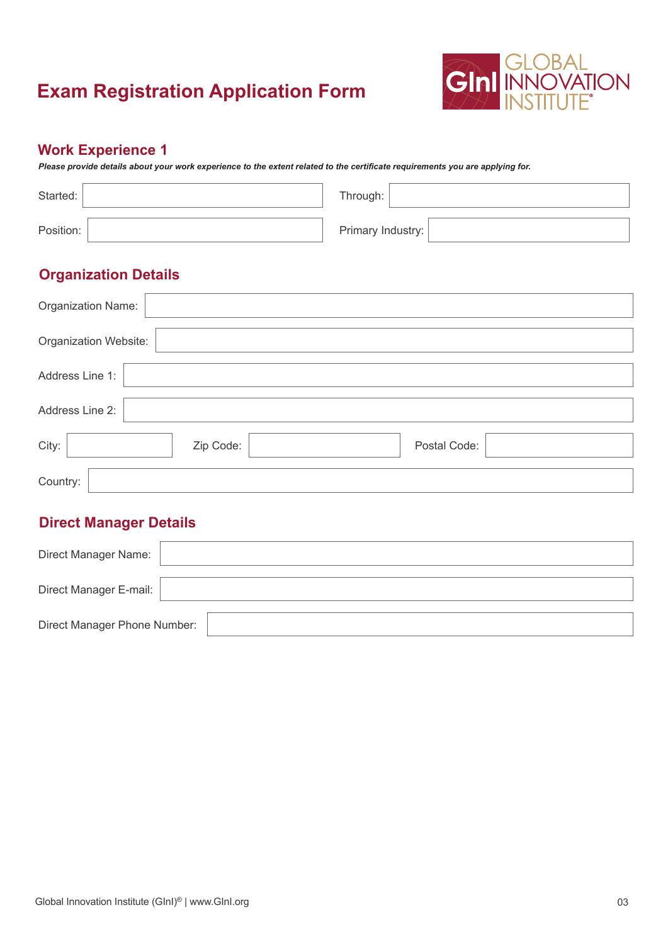

### **Work Experience 1**

*Please provide details about your work experience to the extent related to the certificate requirements you are applying for.*

| Started:  | Through: $\vert$  |
|-----------|-------------------|
| Position: | Primary Industry: |

### **Organization Details**

| Organization Name:    |           |              |  |
|-----------------------|-----------|--------------|--|
| Organization Website: |           |              |  |
| Address Line 1:       |           |              |  |
| Address Line 2:       |           |              |  |
| City:                 | Zip Code: | Postal Code: |  |
| Country:              |           |              |  |

| Direct Manager Name:         |  |
|------------------------------|--|
| Direct Manager E-mail:       |  |
| Direct Manager Phone Number: |  |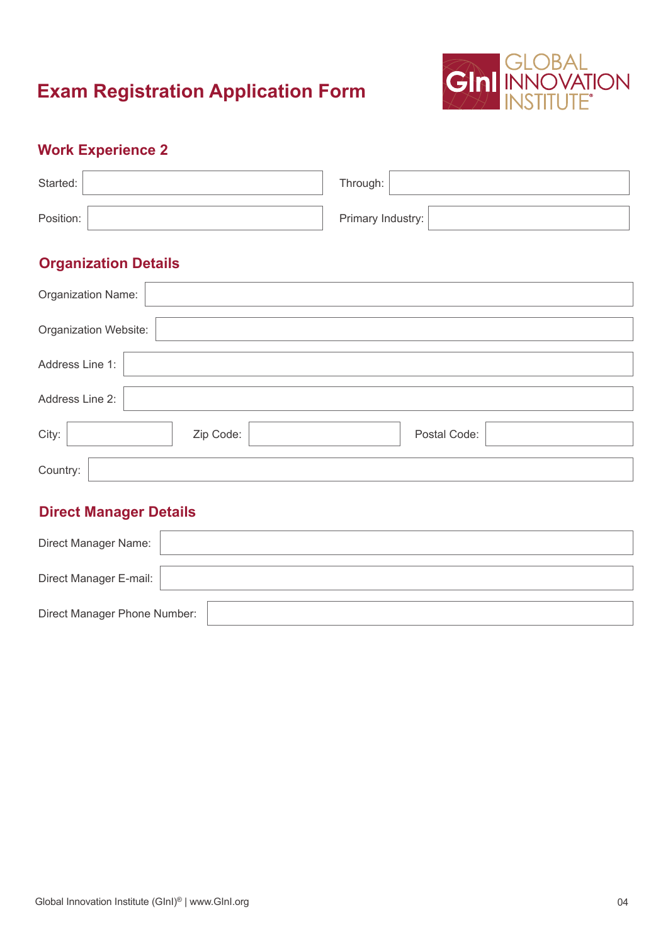

## **Work Experience 2**

| Started:  | Through:          |
|-----------|-------------------|
| Position: | Primary Industry: |

## **Organization Details**

| Organization Name:    |           |              |  |
|-----------------------|-----------|--------------|--|
| Organization Website: |           |              |  |
| Address Line 1:       |           |              |  |
| Address Line 2:       |           |              |  |
| City:                 | Zip Code: | Postal Code: |  |
| Country:              |           |              |  |

| Direct Manager Name:         |  |
|------------------------------|--|
| Direct Manager E-mail:       |  |
| Direct Manager Phone Number: |  |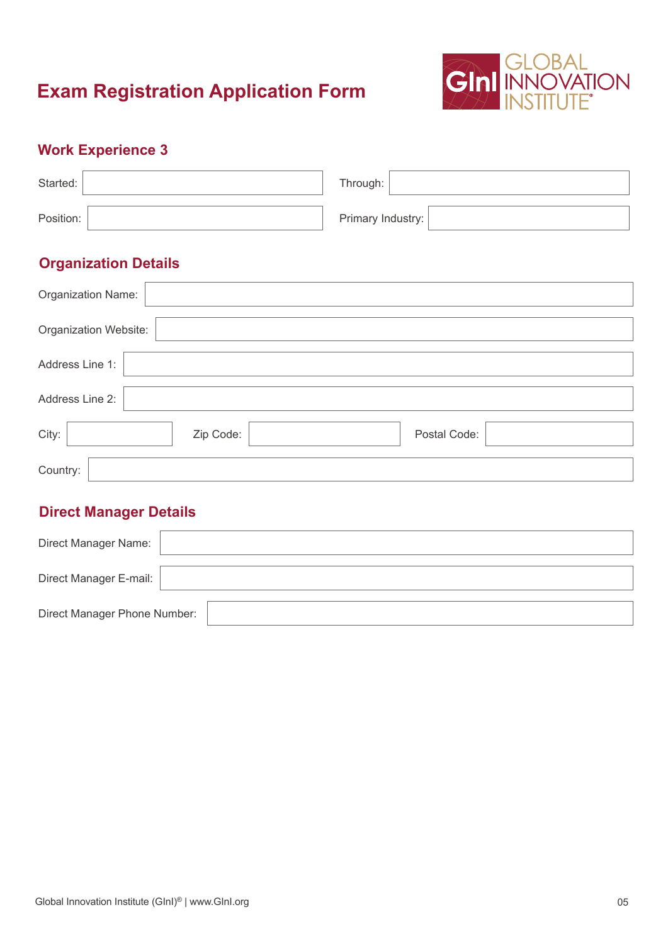

## **Work Experience 3**

| Started:  | Through:          |
|-----------|-------------------|
| Position: | Primary Industry: |

## **Organization Details**

| Organization Name:    |           |              |  |
|-----------------------|-----------|--------------|--|
| Organization Website: |           |              |  |
| Address Line 1:       |           |              |  |
| Address Line 2:       |           |              |  |
| City:                 | Zip Code: | Postal Code: |  |
| Country:              |           |              |  |

| Direct Manager Name:         |  |
|------------------------------|--|
| Direct Manager E-mail:       |  |
| Direct Manager Phone Number: |  |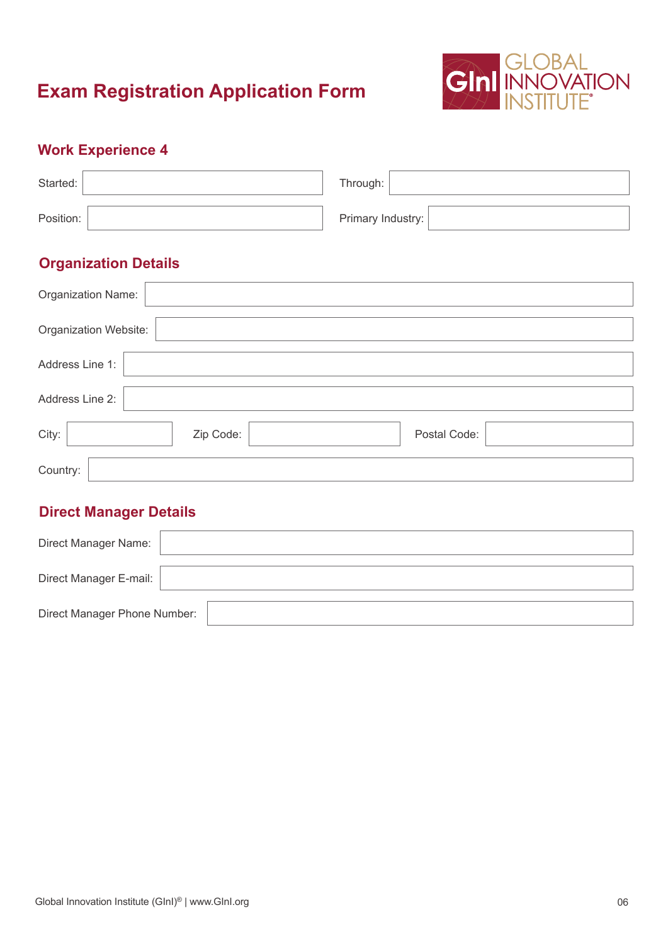

## **Work Experience 4**

| Started:  | Through:          |  |
|-----------|-------------------|--|
| Position: | Primary Industry: |  |

## **Organization Details**

| Organization Name:    |           |              |  |
|-----------------------|-----------|--------------|--|
| Organization Website: |           |              |  |
| Address Line 1:       |           |              |  |
| Address Line 2:       |           |              |  |
| City:                 | Zip Code: | Postal Code: |  |
| Country:              |           |              |  |

| Direct Manager Name:         |  |
|------------------------------|--|
| Direct Manager E-mail:       |  |
| Direct Manager Phone Number: |  |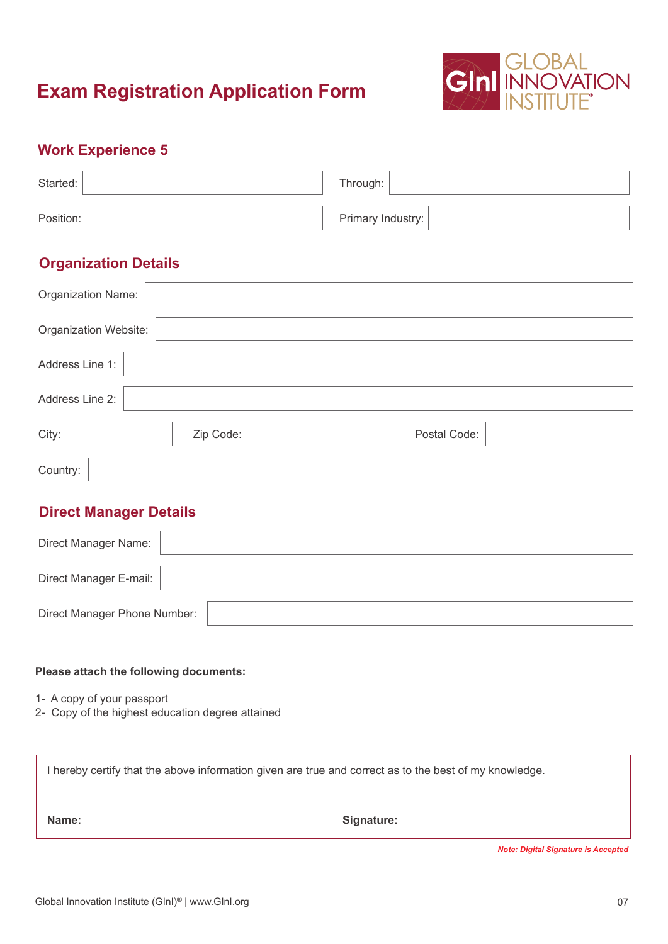

### **Work Experience 5**

| Started:  | Through:          |
|-----------|-------------------|
| Position: | Primary Industry: |

## **Organization Details**

| Organization Name:    |           |              |  |
|-----------------------|-----------|--------------|--|
| Organization Website: |           |              |  |
| Address Line 1:       |           |              |  |
| Address Line 2:       |           |              |  |
| City:                 | Zip Code: | Postal Code: |  |
| Country:              |           |              |  |

### **Direct Manager Details**

| Direct Manager Name:         |  |
|------------------------------|--|
| Direct Manager E-mail:       |  |
| Direct Manager Phone Number: |  |

#### **Please attach the following documents:**

- 1- A copy of your passport
- 2- Copy of the highest education degree attained

| I hereby certify that the above information given are true and correct as to the best of my knowledge. |            |  |
|--------------------------------------------------------------------------------------------------------|------------|--|
| Name:                                                                                                  | Signature: |  |

 *Note: Digital Signature is Accepted*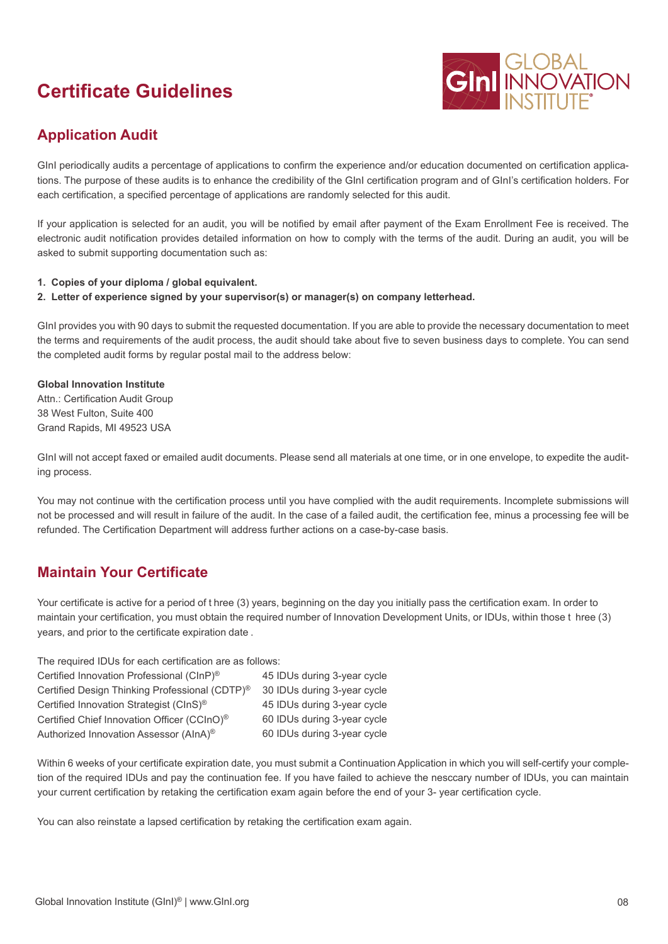# **Certificate Guidelines**



## **Application Audit**

GInI periodically audits a percentage of applications to confirm the experience and/or education documented on certification applications. The purpose of these audits is to enhance the credibility of the GInI certification program and of GInI's certification holders. For each certification, a specified percentage of applications are randomly selected for this audit.

If your application is selected for an audit, you will be notified by email after payment of the Exam Enrollment Fee is received. The electronic audit notification provides detailed information on how to comply with the terms of the audit. During an audit, you will be asked to submit supporting documentation such as:

- **1. Copies of your diploma / global equivalent.**
- **2. Letter of experience signed by your supervisor(s) or manager(s) on company letterhead.**

GInI provides you with 90 days to submit the requested documentation. If you are able to provide the necessary documentation to meet the terms and requirements of the audit process, the audit should take about five to seven business days to complete. You can send the completed audit forms by regular postal mail to the address below:

#### **Global Innovation Institute**

Attn.: Certification Audit Group 38 West Fulton, Suite 400 Grand Rapids, MI 49523 USA

GInI will not accept faxed or emailed audit documents. Please send all materials at one time, or in one envelope, to expedite the auditing process.

You may not continue with the certification process until you have complied with the audit requirements. Incomplete submissions will not be processed and will result in failure of the audit. In the case of a failed audit, the certification fee, minus a processing fee will be refunded. The Certification Department will address further actions on a case-by-case basis.

### **Maintain Your Certificate**

Your certificate is active for a period of t hree (3) years, beginning on the day you initially pass the certification exam. In order to maintain your certification, you must obtain the required number of Innovation Development Units, or IDUs, within those t hree (3) years, and prior to the certificate expiration date .

The required IDUs for each certification are as follows:

| Certified Innovation Professional (CInP) <sup>®</sup>      | 45 IDUs during 3-year cycle |
|------------------------------------------------------------|-----------------------------|
| Certified Design Thinking Professional (CDTP) <sup>®</sup> | 30 IDUs during 3-year cycle |
| Certified Innovation Strategist (CInS) <sup>®</sup>        | 45 IDUs during 3-year cycle |
| Certified Chief Innovation Officer (CCInO) <sup>®</sup>    | 60 IDUs during 3-year cycle |
| Authorized Innovation Assessor (AInA) <sup>®</sup>         | 60 IDUs during 3-year cycle |

Within 6 weeks of your certificate expiration date, you must submit a Continuation Application in which you will self-certify your completion of the required IDUs and pay the continuation fee. If you have failed to achieve the nesccary number of IDUs, you can maintain your current certification by retaking the certification exam again before the end of your 3- year certification cycle.

You can also reinstate a lapsed certification by retaking the certification exam again.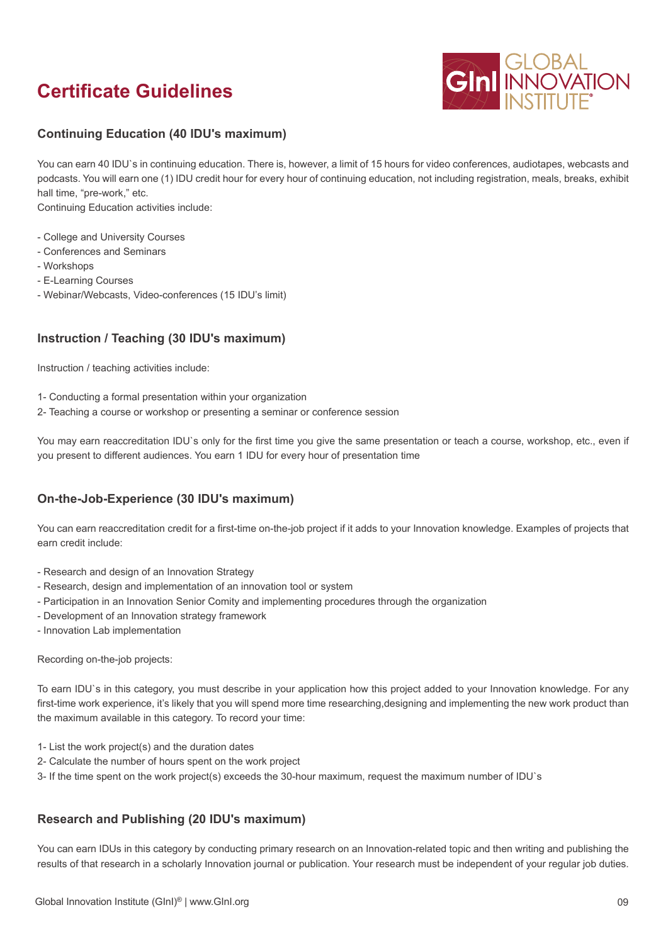# **Certificate Guidelines**



#### **Continuing Education (40 IDU's maximum)**

You can earn 40 IDU`s in continuing education. There is, however, a limit of 15 hours for video conferences, audiotapes, webcasts and podcasts. You will earn one (1) IDU credit hour for every hour of continuing education, not including registration, meals, breaks, exhibit hall time, "pre-work," etc.

Continuing Education activities include:

- College and University Courses
- Conferences and Seminars
- Workshops
- E-Learning Courses
- Webinar/Webcasts, Video-conferences (15 IDU's limit)

#### **Instruction / Teaching (30 IDU's maximum)**

Instruction / teaching activities include:

- 1- Conducting a formal presentation within your organization
- 2- Teaching a course or workshop or presenting a seminar or conference session

You may earn reaccreditation IDU`s only for the first time you give the same presentation or teach a course, workshop, etc., even if you present to different audiences. You earn 1 IDU for every hour of presentation time

#### **On-the-Job-Experience (30 IDU's maximum)**

You can earn reaccreditation credit for a first-time on-the-job project if it adds to your Innovation knowledge. Examples of projects that earn credit include:

- Research and design of an Innovation Strategy
- Research, design and implementation of an innovation tool or system
- Participation in an Innovation Senior Comity and implementing procedures through the organization
- Development of an Innovation strategy framework
- Innovation Lab implementation

Recording on-the-job projects:

To earn IDU`s in this category, you must describe in your application how this project added to your Innovation knowledge. For any first-time work experience, it's likely that you will spend more time researching,designing and implementing the new work product than the maximum available in this category. To record your time:

- 1- List the work project(s) and the duration dates
- 2- Calculate the number of hours spent on the work project
- 3- If the time spent on the work project(s) exceeds the 30-hour maximum, request the maximum number of IDU`s

#### **Research and Publishing (20 IDU's maximum)**

You can earn IDUs in this category by conducting primary research on an Innovation-related topic and then writing and publishing the results of that research in a scholarly Innovation journal or publication. Your research must be independent of your regular job duties.